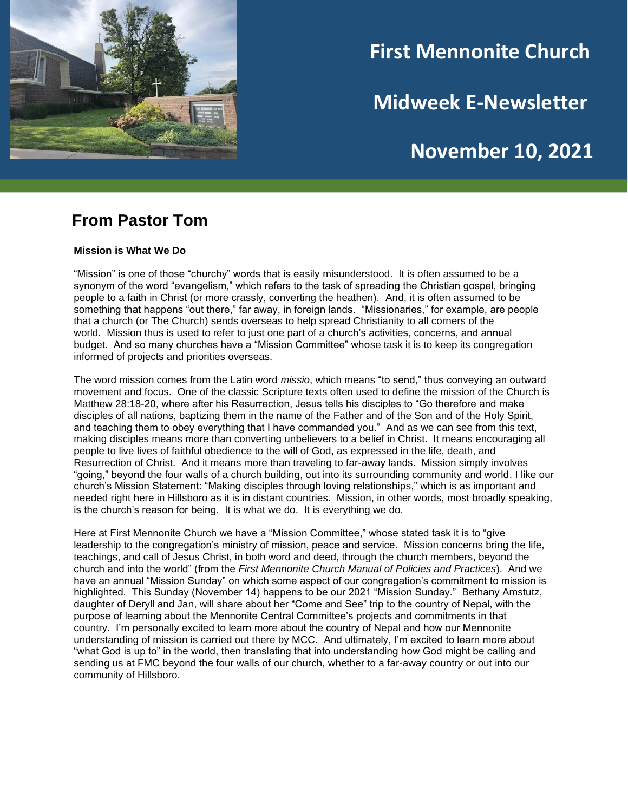

# **First Mennonite Church**

**Midweek E-Newsletter**

# **November 10, 2021**

### **From Pastor Tom**

#### **Mission is What We Do**

"Mission" is one of those "churchy" words that is easily misunderstood. It is often assumed to be a synonym of the word "evangelism," which refers to the task of spreading the Christian gospel, bringing people to a faith in Christ (or more crassly, converting the heathen). And, it is often assumed to be something that happens "out there," far away, in foreign lands. "Missionaries," for example, are people that a church (or The Church) sends overseas to help spread Christianity to all corners of the world. Mission thus is used to refer to just one part of a church's activities, concerns, and annual budget. And so many churches have a "Mission Committee" whose task it is to keep its congregation informed of projects and priorities overseas.

The word mission comes from the Latin word *missio*, which means "to send," thus conveying an outward movement and focus. One of the classic Scripture texts often used to define the mission of the Church is Matthew 28:18-20, where after his Resurrection, Jesus tells his disciples to "Go therefore and make disciples of all nations, baptizing them in the name of the Father and of the Son and of the Holy Spirit, and teaching them to obey everything that I have commanded you." And as we can see from this text, making disciples means more than converting unbelievers to a belief in Christ. It means encouraging all people to live lives of faithful obedience to the will of God, as expressed in the life, death, and Resurrection of Christ. And it means more than traveling to far-away lands. Mission simply involves "going," beyond the four walls of a church building, out into its surrounding community and world. I like our church's Mission Statement: "Making disciples through loving relationships," which is as important and needed right here in Hillsboro as it is in distant countries. Mission, in other words, most broadly speaking, is the church's reason for being. It is what we do. It is everything we do.

Here at First Mennonite Church we have a "Mission Committee," whose stated task it is to "give leadership to the congregation's ministry of mission, peace and service. Mission concerns bring the life, teachings, and call of Jesus Christ, in both word and deed, through the church members, beyond the church and into the world" (from the *First Mennonite Church Manual of Policies and Practices*). And we have an annual "Mission Sunday" on which some aspect of our congregation's commitment to mission is highlighted. This Sunday (November 14) happens to be our 2021 "Mission Sunday." Bethany Amstutz, daughter of Deryll and Jan, will share about her "Come and See" trip to the country of Nepal, with the purpose of learning about the Mennonite Central Committee's projects and commitments in that country. I'm personally excited to learn more about the country of Nepal and how our Mennonite understanding of mission is carried out there by MCC. And ultimately, I'm excited to learn more about "what God is up to" in the world, then translating that into understanding how God might be calling and sending us at FMC beyond the four walls of our church, whether to a far-away country or out into our community of Hillsboro.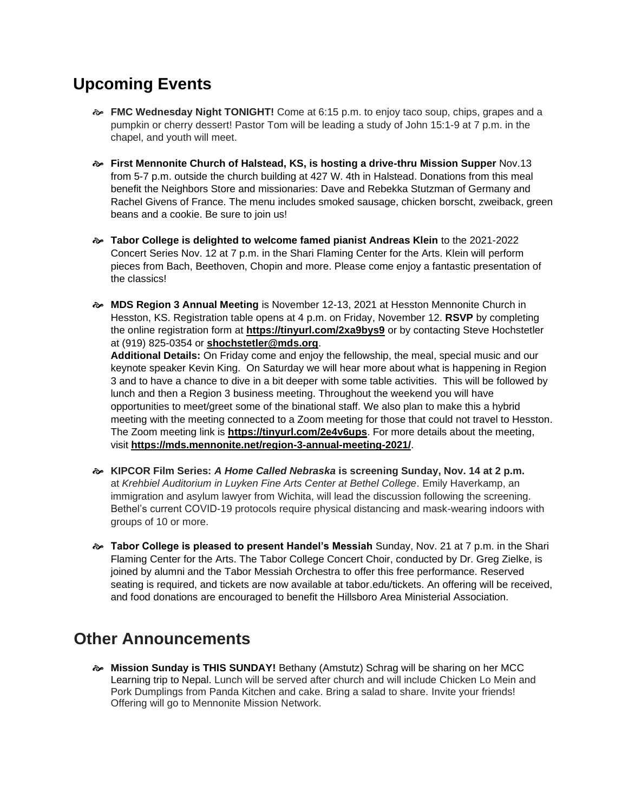## **Upcoming Events**

- **FMC Wednesday Night TONIGHT!** Come at 6:15 p.m. to enjoy taco soup, chips, grapes and a pumpkin or cherry dessert! Pastor Tom will be leading a study of John 15:1-9 at 7 p.m. in the chapel, and youth will meet.
- **First Mennonite Church of Halstead, KS, is hosting a drive-thru Mission Supper** Nov.13 from 5-7 p.m. outside the church building at 427 W. 4th in Halstead. Donations from this meal benefit the Neighbors Store and missionaries: Dave and Rebekka Stutzman of Germany and Rachel Givens of France. The menu includes smoked sausage, chicken borscht, zweiback, green beans and a cookie. Be sure to join us!
- **Tabor College is delighted to welcome famed pianist Andreas Klein** to the 2021-2022 Concert Series Nov. 12 at 7 p.m. in the Shari Flaming Center for the Arts. Klein will perform pieces from Bach, Beethoven, Chopin and more. Please come enjoy a fantastic presentation of the classics!
- **MDS Region 3 Annual Meeting** is November 12-13, 2021 at Hesston Mennonite Church in Hesston, KS. Registration table opens at 4 p.m. on Friday, November 12. **RSVP** by completing the online registration form at **[https://tinyurl.com/2xa9bys9](https://r20.rs6.net/tn.jsp?f=001Ies4oAkwWVxR74V5CLBH_XPMFRLbzqAsWvd0bwg5DgCtaaQDvzhCbiQT95p1F7j9GYo2IN4nWB2xCw2cSjZX9284UGmEMGfMO7cptqs6RRPW3HBXYtBDMbm-CmL6RN-VUWd_LuraOB69PWl3ke9JrmmqyLIxDBJk&c=29Vx49HcS6VuMzZw4j-md_lNu8D2Mr-R2eArpl_a0b7ZTra0aqme6Q==&ch=pxRrqVHYaf1QsLaDEMAdO8iFoPOtj4tE5NPsz1oJYn-gTd0JyCuH9A==)** or by contacting Steve Hochstetler at (919) 825-0354 or **[shochstetler@mds.org](mailto:shochstetler@mds.org)**.

**Additional Details:** On Friday come and enjoy the fellowship, the meal, special music and our keynote speaker Kevin King. On Saturday we will hear more about what is happening in Region 3 and to have a chance to dive in a bit deeper with some table activities. This will be followed by lunch and then a Region 3 business meeting. Throughout the weekend you will have opportunities to meet/greet some of the binational staff. We also plan to make this a hybrid meeting with the meeting connected to a Zoom meeting for those that could not travel to Hesston. The Zoom meeting link is **[https://tinyurl.com/2e4v6ups](https://r20.rs6.net/tn.jsp?f=001Ies4oAkwWVxR74V5CLBH_XPMFRLbzqAsWvd0bwg5DgCtaaQDvzhCbrxGV8ZRwY8YzkTLL-TcbNiBlomapL5SPoROehfeZUbyL_qtxLF0m39pzGvH44T4vJ1qulFQDOF4hSTg3_CUM6Qs9-LptO5xFw==&c=29Vx49HcS6VuMzZw4j-md_lNu8D2Mr-R2eArpl_a0b7ZTra0aqme6Q==&ch=pxRrqVHYaf1QsLaDEMAdO8iFoPOtj4tE5NPsz1oJYn-gTd0JyCuH9A==)**. For more details about the meeting, visit **[https://mds.mennonite.net/region-3-annual-meeting-2021/](https://r20.rs6.net/tn.jsp?f=001Ies4oAkwWVxR74V5CLBH_XPMFRLbzqAsWvd0bwg5DgCtaaQDvzhCbiQT95p1F7j9Oq79dCzndKanIPLehQzZyYCrjhvN283KsaBdtkcJK7h1vfvNLniuoJaKVR_GhtU8a9SFFAK0pvkZ8pTUDAyxbiO4vCbTur7qdDuN5oAU0m4UtrfTH3PRc6NmXaT-zuA-&c=29Vx49HcS6VuMzZw4j-md_lNu8D2Mr-R2eArpl_a0b7ZTra0aqme6Q==&ch=pxRrqVHYaf1QsLaDEMAdO8iFoPOtj4tE5NPsz1oJYn-gTd0JyCuH9A==)**.

- **KIPCOR Film Series:** *A Home Called Nebraska* **is screening Sunday, Nov. 14 at 2 p.m.** at *Krehbiel Auditorium in Luyken Fine Arts Center at Bethel College*. Emily Haverkamp, an immigration and asylum lawyer from Wichita, will lead the discussion following the screening. Bethel's current COVID-19 protocols require physical distancing and mask-wearing indoors with groups of 10 or more.
- **Tabor College is pleased to present Handel's Messiah** Sunday, Nov. 21 at 7 p.m. in the Shari Flaming Center for the Arts. The Tabor College Concert Choir, conducted by Dr. Greg Zielke, is joined by alumni and the Tabor Messiah Orchestra to offer this free performance. Reserved seating is required, and tickets are now available at tabor.edu/tickets. An offering will be received, and food donations are encouraged to benefit the Hillsboro Area Ministerial Association.

## **Other Announcements**

 **Mission Sunday is THIS SUNDAY!** Bethany (Amstutz) Schrag will be sharing on her MCC Learning trip to Nepal. Lunch will be served after church and will include Chicken Lo Mein and Pork Dumplings from Panda Kitchen and cake. Bring a salad to share. Invite your friends! Offering will go to Mennonite Mission Network.